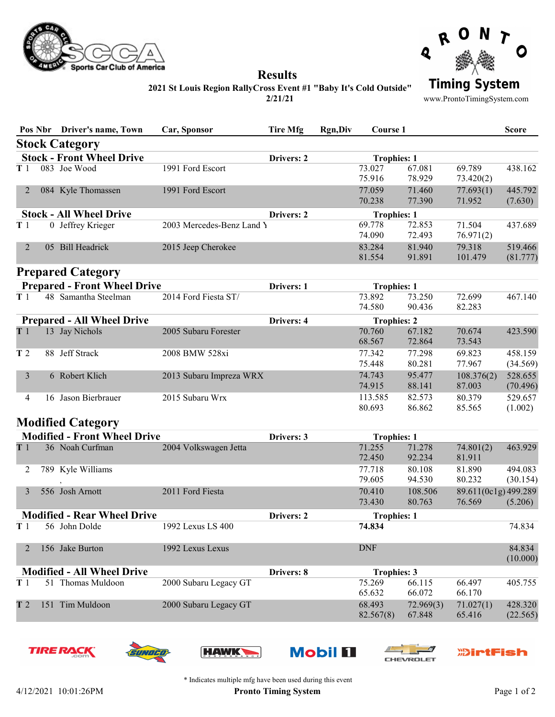



Results 2021 St Louis Region RallyCross Event #1 "Baby It's Cold Outside"

2/21/21

**Timing System** 

www.ProntoTimingSystem.com

|                                     |  | Pos Nbr Driver's name, Town        | Car, Sponsor              | <b>Tire Mfg</b> | <b>Rgn,Div</b>     | Course 1            |                     |                                | <b>Score</b>        |
|-------------------------------------|--|------------------------------------|---------------------------|-----------------|--------------------|---------------------|---------------------|--------------------------------|---------------------|
|                                     |  | <b>Stock Category</b>              |                           |                 |                    |                     |                     |                                |                     |
|                                     |  | <b>Stock - Front Wheel Drive</b>   |                           | Drivers: 2      |                    | <b>Trophies: 1</b>  |                     |                                |                     |
| T1                                  |  | 083 Joe Wood                       | 1991 Ford Escort          |                 |                    | 73.027<br>75.916    | 67.081<br>78.929    | 69.789<br>73.420(2)            | 438.162             |
| 2                                   |  | 084 Kyle Thomassen                 | 1991 Ford Escort          |                 |                    | 77.059<br>70.238    | 71.460<br>77.390    | 77.693(1)<br>71.952            | 445.792<br>(7.630)  |
| <b>Stock - All Wheel Drive</b>      |  |                                    |                           | Drivers: 2      |                    | <b>Trophies: 1</b>  |                     |                                |                     |
| Тl                                  |  | 0 Jeffrey Krieger                  | 2003 Mercedes-Benz Land Y |                 |                    | 69.778<br>74.090    | 72.853<br>72.493    | 71.504<br>76.971(2)            | 437.689             |
| 2                                   |  | 05 Bill Headrick                   | 2015 Jeep Cherokee        |                 |                    | 83.284<br>81.554    | 81.940<br>91.891    | 79.318<br>101.479              | 519.466<br>(81.777) |
|                                     |  | <b>Prepared Category</b>           |                           |                 |                    |                     |                     |                                |                     |
| <b>Prepared - Front Wheel Drive</b> |  |                                    |                           | Drivers: 1      |                    | <b>Trophies: 1</b>  |                     |                                |                     |
| T1                                  |  | 48 Samantha Steelman               | 2014 Ford Fiesta ST/      |                 |                    | 73.892<br>74.580    | 73.250<br>90.436    | 72.699<br>82.283               | 467.140             |
|                                     |  | <b>Prepared - All Wheel Drive</b>  |                           | Drivers: 4      |                    | <b>Trophies: 2</b>  |                     |                                |                     |
| T1                                  |  | 13 Jay Nichols                     | 2005 Subaru Forester      |                 |                    | 70.760              | 67.182              | 70.674                         | 423.590             |
| T <sub>2</sub>                      |  | 88 Jeff Strack                     | 2008 BMW 528xi            |                 |                    | 68.567<br>77.342    | 72.864<br>77.298    | 73.543<br>69.823               | 458.159             |
|                                     |  |                                    |                           |                 |                    | 75.448              | 80.281              | 77.967                         | (34.569)            |
| 3                                   |  | 6 Robert Klich                     | 2013 Subaru Impreza WRX   |                 |                    | 74.743<br>74.915    | 95.477<br>88.141    | 108.376(2)<br>87.003           | 528.655<br>(70.496) |
| 4                                   |  | 16 Jason Bierbrauer                | 2015 Subaru Wrx           |                 |                    | 113.585<br>80.693   | 82.573<br>86.862    | 80.379<br>85.565               | 529.657<br>(1.002)  |
|                                     |  | <b>Modified Category</b>           |                           |                 |                    |                     |                     |                                |                     |
| <b>Modified - Front Wheel Drive</b> |  |                                    |                           | Drivers: 3      |                    | <b>Trophies: 1</b>  |                     |                                |                     |
| T1                                  |  | 36 Noah Curfman                    | 2004 Volkswagen Jetta     |                 |                    | 71.255<br>72.450    | 71.278<br>92.234    | 74.801(2)<br>81.911            | 463.929             |
| 2                                   |  | 789 Kyle Williams                  |                           |                 |                    | 77.718              | 80.108              | 81.890                         | 494.083             |
|                                     |  |                                    | 2011 Ford Fiesta          |                 |                    | 79.605              | 94.530<br>108.506   | 80.232                         | (30.154)            |
| 3                                   |  | 556 Josh Arnott                    |                           |                 |                    | 70.410<br>73.430    | 80.763              | 89.611(0c1g) 499.289<br>76.569 | (5.206)             |
|                                     |  | <b>Modified - Rear Wheel Drive</b> |                           | Drivers: 2      |                    | <b>Trophies: 1</b>  |                     |                                |                     |
| T1                                  |  | 56 John Dolde                      | 1992 Lexus LS 400         |                 |                    | 74.834              |                     |                                | 74.834              |
| 2                                   |  | 156 Jake Burton                    | 1992 Lexus Lexus          |                 |                    | <b>DNF</b>          |                     |                                | 84.834<br>(10.000)  |
| <b>Modified - All Wheel Drive</b>   |  |                                    | Drivers: 8                |                 | <b>Trophies: 3</b> |                     |                     |                                |                     |
| T1                                  |  | 51 Thomas Muldoon                  | 2000 Subaru Legacy GT     |                 |                    | 75.269<br>65.632    | 66.115<br>66.072    | 66.497<br>66.170               | 405.755             |
| T <sub>2</sub>                      |  | 151 Tim Muldoon                    | 2000 Subaru Legacy GT     |                 |                    | 68.493<br>82.567(8) | 72.969(3)<br>67.848 | 71.027(1)<br>65.416            | 428.320<br>(22.565) |
|                                     |  | <b>TIRE RACK</b><br>SUNDED         | <b>HAWK</b>               |                 | <b>Mobil 11</b>    |                     |                     | <b><i>DirtFish</i></b>         |                     |

**CHEVROLET**